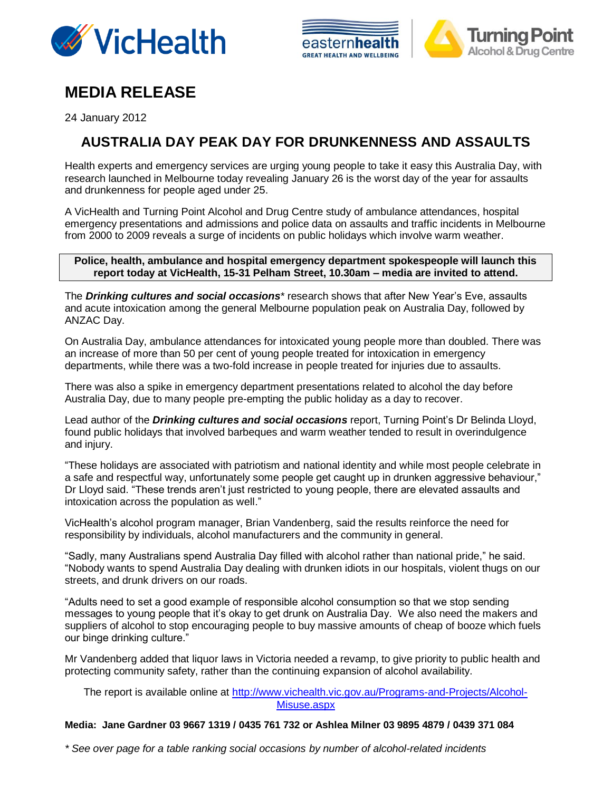





# **MEDIA RELEASE**

24 January 2012

## **AUSTRALIA DAY PEAK DAY FOR DRUNKENNESS AND ASSAULTS**

Health experts and emergency services are urging young people to take it easy this Australia Day, with research launched in Melbourne today revealing January 26 is the worst day of the year for assaults and drunkenness for people aged under 25.

A VicHealth and Turning Point Alcohol and Drug Centre study of ambulance attendances, hospital emergency presentations and admissions and police data on assaults and traffic incidents in Melbourne from 2000 to 2009 reveals a surge of incidents on public holidays which involve warm weather.

#### **Police, health, ambulance and hospital emergency department spokespeople will launch this report today at VicHealth, 15-31 Pelham Street, 10.30am – media are invited to attend.**

The *Drinking cultures and social occasions\** research shows that after New Year's Eve, assaults and acute intoxication among the general Melbourne population peak on Australia Day, followed by ANZAC Day.

On Australia Day, ambulance attendances for intoxicated young people more than doubled. There was an increase of more than 50 per cent of young people treated for intoxication in emergency departments, while there was a two-fold increase in people treated for injuries due to assaults.

There was also a spike in emergency department presentations related to alcohol the day before Australia Day, due to many people pre-empting the public holiday as a day to recover.

Lead author of the *Drinking cultures and social occasions* report, Turning Point's Dr Belinda Lloyd, found public holidays that involved barbeques and warm weather tended to result in overindulgence and injury.

"These holidays are associated with patriotism and national identity and while most people celebrate in a safe and respectful way, unfortunately some people get caught up in drunken aggressive behaviour," Dr Lloyd said. "These trends aren't just restricted to young people, there are elevated assaults and intoxication across the population as well."

VicHealth's alcohol program manager, Brian Vandenberg, said the results reinforce the need for responsibility by individuals, alcohol manufacturers and the community in general.

"Sadly, many Australians spend Australia Day filled with alcohol rather than national pride," he said. "Nobody wants to spend Australia Day dealing with drunken idiots in our hospitals, violent thugs on our streets, and drunk drivers on our roads.

"Adults need to set a good example of responsible alcohol consumption so that we stop sending messages to young people that it's okay to get drunk on Australia Day. We also need the makers and suppliers of alcohol to stop encouraging people to buy massive amounts of cheap of booze which fuels our binge drinking culture."

Mr Vandenberg added that liquor laws in Victoria needed a revamp, to give priority to public health and protecting community safety, rather than the continuing expansion of alcohol availability.

The report is available online at [http://www.vichealth.vic.gov.au/Programs-and-Projects/Alcohol-](http://www.vichealth.vic.gov.au/Programs-and-Projects/Alcohol-Misuse.aspx)[Misuse.aspx](http://www.vichealth.vic.gov.au/Programs-and-Projects/Alcohol-Misuse.aspx)

#### **Media: Jane Gardner 03 9667 1319 / 0435 761 732 or Ashlea Milner 03 9895 4879 / 0439 371 084**

*\* See over page for a table ranking social occasions by number of alcohol-related incidents*